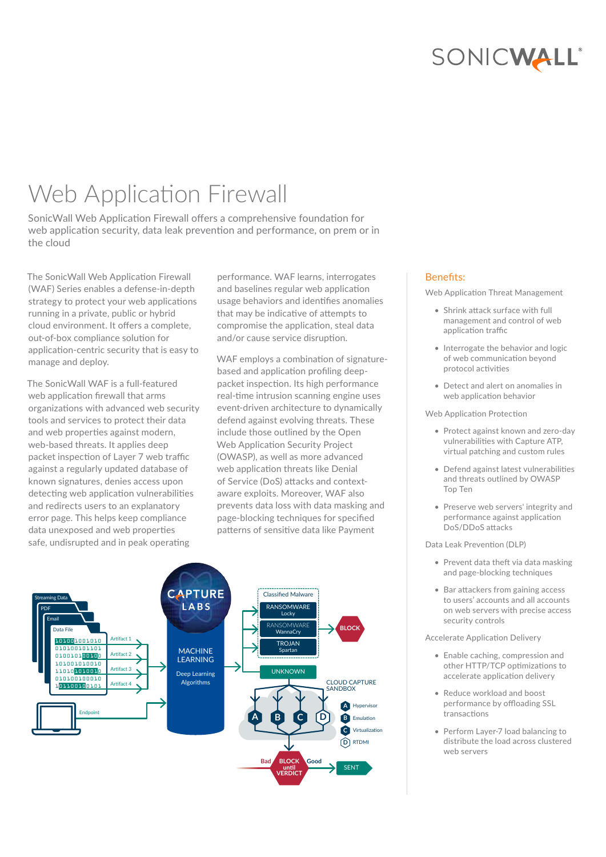# SONICWALL®

# Web Application Firewall

SonicWall Web Application Firewall offers a comprehensive foundation for web application security, data leak prevention and performance, on prem or in the cloud

The SonicWall Web Application Firewall (WAF) Series enables a defense-in-depth strategy to protect your web applications running in a private, public or hybrid cloud environment. It offers a complete, out-of-box compliance solution for application-centric security that is easy to manage and deploy.

The SonicWall WAF is a full-featured web application firewall that arms organizations with advanced web security tools and services to protect their data and web properties against modern, web-based threats. It applies deep packet inspection of Layer 7 web traffic against a regularly updated database of known signatures, denies access upon detecting web application vulnerabilities and redirects users to an explanatory error page. This helps keep compliance data unexposed and web properties safe, undisrupted and in peak operating

performance. WAF learns, interrogates and baselines regular web application usage behaviors and identifies anomalies that may be indicative of attempts to compromise the application, steal data and/or cause service disruption.

WAF employs a combination of signaturebased and application profiling deeppacket inspection. Its high performance real-time intrusion scanning engine uses event-driven architecture to dynamically defend against evolving threats. These include those outlined by the Open Web Application Security Project (OWASP), as well as more advanced web application threats like Denial of Service (DoS) attacks and contextaware exploits. Moreover, WAF also prevents data loss with data masking and page-blocking techniques for specified patterns of sensitive data like Payment



#### Benefits:

Web Application Threat Management

- Shrink attack surface with full management and control of web application traffic
- Interrogate the behavior and logic of web communication beyond protocol activities
- Detect and alert on anomalies in web application behavior

Web Application Protection

- Protect against known and zero-day vulnerabilities with Capture ATP, virtual patching and custom rules
- Defend against latest vulnerabilities and threats outlined by OWASP Top Ten
- Preserve web servers' integrity and performance against application DoS/DDoS attacks

Data Leak Prevention (DLP)

- Prevent data theft via data masking and page-blocking techniques
- Bar attackers from gaining access to users' accounts and all accounts on web servers with precise access security controls

Accelerate Application Delivery

- Enable caching, compression and other HTTP/TCP optimizations to accelerate application delivery
- Reduce workload and boost performance by offloading SSL transactions
- Perform Layer-7 load balancing to distribute the load across clustered web servers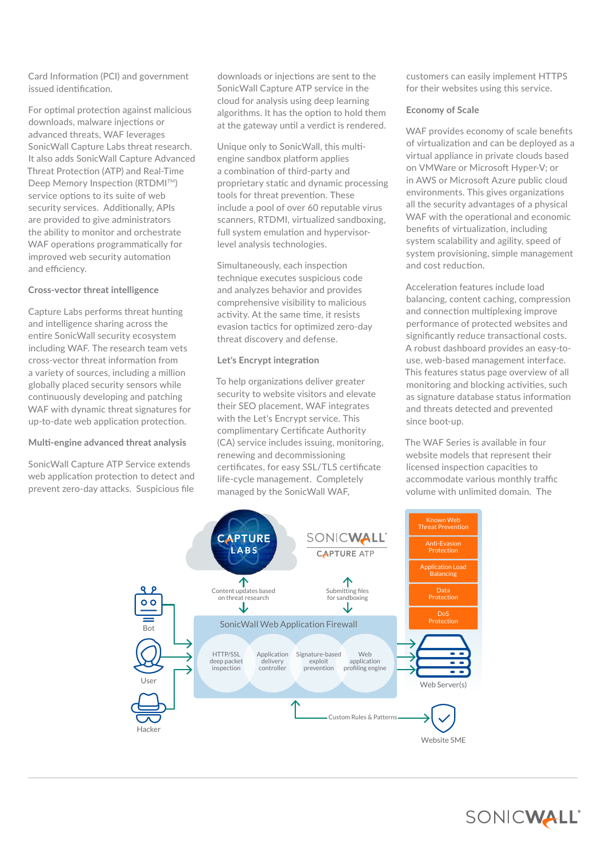Card Information (PCI) and government issued identification.

For optimal protection against malicious downloads, malware injections or advanced threats, WAF leverages SonicWall Capture Labs threat research. It also adds SonicWall Capture Advanced Threat Protection (ATP) and Real-Time Deep Memory Inspection (RTDMI™) service options to its suite of web security services. Additionally, APIs are provided to give administrators the ability to monitor and orchestrate WAF operations programmatically for improved web security automation and efficiency.

#### **Cross-vector threat intelligence**

Capture Labs performs threat hunting and intelligence sharing across the entire SonicWall security ecosystem including WAF. The research team vets cross-vector threat information from a variety of sources, including a million globally placed security sensors while continuously developing and patching WAF with dynamic threat signatures for up-to-date web application protection.

#### **Multi-engine advanced threat analysis**

SonicWall Capture ATP Service extends web application protection to detect and prevent zero-day attacks. Suspicious file downloads or injections are sent to the SonicWall Capture ATP service in the cloud for analysis using deep learning algorithms. It has the option to hold them at the gateway until a verdict is rendered.

Unique only to SonicWall, this multiengine sandbox platform applies a combination of third-party and proprietary static and dynamic processing tools for threat prevention. These include a pool of over 60 reputable virus scanners, RTDMI, virtualized sandboxing, full system emulation and hypervisorlevel analysis technologies.

Simultaneously, each inspection technique executes suspicious code and analyzes behavior and provides comprehensive visibility to malicious activity. At the same time, it resists evasion tactics for optimized zero-day threat discovery and defense.

#### **Let's Encrypt integration**

To help organizations deliver greater security to website visitors and elevate their SEO placement, WAF integrates with the Let's Encrypt service. This complimentary Certificate Authority (CA) service includes issuing, monitoring, renewing and decommissioning certificates, for easy SSL/TLS certificate life-cycle management. Completely managed by the SonicWall WAF,

customers can easily implement HTTPS for their websites using this service.

#### **Economy of Scale**

WAF provides economy of scale benefits of virtualization and can be deployed as a virtual appliance in private clouds based on VMWare or Microsoft Hyper-V; or in AWS or Microsoft Azure public cloud environments. This gives organizations all the security advantages of a physical WAF with the operational and economic benefits of virtualization, including system scalability and agility, speed of system provisioning, simple management and cost reduction.

Acceleration features include load balancing, content caching, compression and connection multiplexing improve performance of protected websites and significantly reduce transactional costs. A robust dashboard provides an easy-touse, web-based management interface. This features status page overview of all monitoring and blocking activities, such as signature database status information and threats detected and prevented since boot-up.

The WAF Series is available in four website models that represent their licensed inspection capacities to accommodate various monthly traffic volume with unlimited domain. The



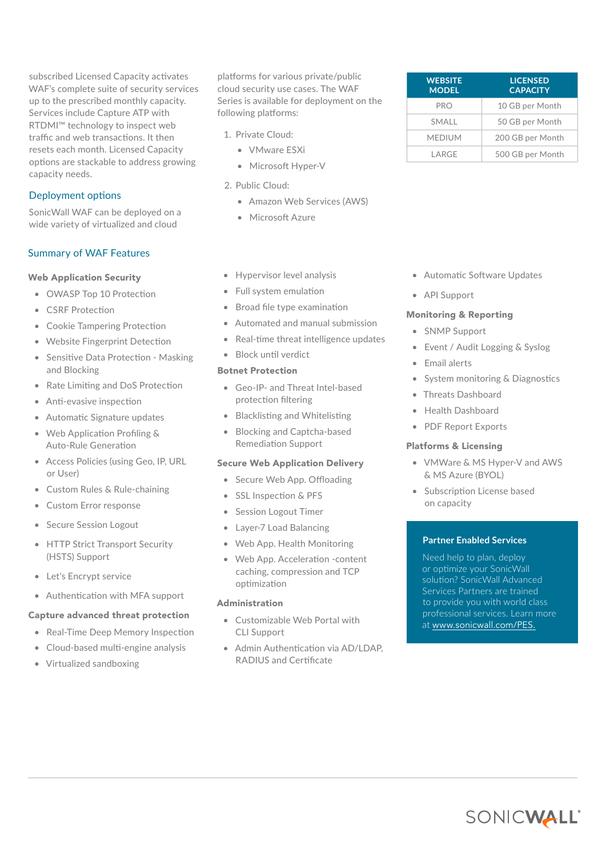subscribed Licensed Capacity activates WAF's complete suite of security services up to the prescribed monthly capacity. Services include Capture ATP with RTDMI™ technology to inspect web traffic and web transactions. It then resets each month. Licensed Capacity options are stackable to address growing capacity needs.

### Deployment options

SonicWall WAF can be deployed on a wide variety of virtualized and cloud

# Summary of WAF Features

## Web Application Security

- OWASP Top 10 Protection
- CSRF Protection
- Cookie Tampering Protection
- Website Fingerprint Detection
- Sensitive Data Protection Masking and Blocking
- Rate Limiting and DoS Protection
- Anti-evasive inspection
- Automatic Signature updates
- Web Application Profiling & Auto-Rule Generation
- Access Policies (using Geo, IP, URL or User)
- Custom Rules & Rule-chaining
- Custom Error response
- Secure Session Logout
- HTTP Strict Transport Security (HSTS) Support
- Let's Encrypt service
- Authentication with MFA support

#### Capture advanced threat protection

- Real-Time Deep Memory Inspection
- Cloud-based multi-engine analysis
- Virtualized sandboxing

platforms for various private/public cloud security use cases. The WAF Series is available for deployment on the following platforms:

- 1. Private Cloud:
	- VMware ESXi
	- Microsoft Hyper-V
- 2. Public Cloud:
	- Amazon Web Services (AWS)
	- Microsoft Azure
- Hypervisor level analysis
- Full system emulation
- Broad file type examination
- Automated and manual submission
- Real-time threat intelligence updates
- Block until verdict

#### Botnet Protection

- Geo-IP- and Threat Intel-based protection filtering
- Blacklisting and Whitelisting
- Blocking and Captcha-based Remediation Support

#### Secure Web Application Delivery

- Secure Web App. Offloading
- SSL Inspection & PFS
- Session Logout Timer
- Layer-7 Load Balancing
- Web App. Health Monitoring
- Web App. Acceleration -content caching, compression and TCP optimization

#### Administration

- Customizable Web Portal with CLI Support
- Admin Authentication via AD/LDAP, RADIUS and Certificate

| <b>WEBSITE</b><br><b>MODEL</b> | <b>LICENSED</b><br><b>CAPACITY</b> |
|--------------------------------|------------------------------------|
| <b>PRO</b>                     | 10 GB per Month                    |
| <b>SMALL</b>                   | 50 GB per Month                    |
| <b>MEDIUM</b>                  | 200 GB per Month                   |
| I ARGF                         | 500 GB per Month                   |

- Automatic Software Updates
- API Support

#### Monitoring & Reporting

- SNMP Support
- Event / Audit Logging & Syslog
- Email alerts
- System monitoring & Diagnostics
- Threats Dashboard
- Health Dashboard
- PDF Report Exports

#### Platforms & Licensing

- VMWare & MS Hyper-V and AWS & MS Azure (BYOL)
- Subscription License based on capacity

#### **Partner Enabled Services**

Need help to plan, deploy or optimize your SonicWall solution? SonicWall Advanced Services Partners are trained to provide you with world class professional services. Learn more at [www.sonicwall.com/PES.](http://www.sonicwall.com/PES)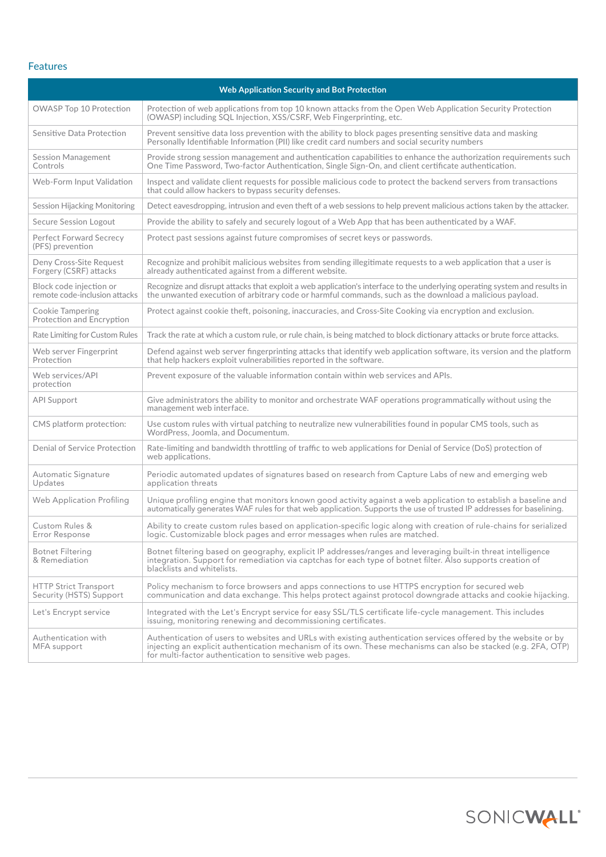# Features

| <b>Web Application Security and Bot Protection</b>       |                                                                                                                                                                                                                                                                                               |  |
|----------------------------------------------------------|-----------------------------------------------------------------------------------------------------------------------------------------------------------------------------------------------------------------------------------------------------------------------------------------------|--|
| OWASP Top 10 Protection                                  | Protection of web applications from top 10 known attacks from the Open Web Application Security Protection<br>(OWASP) including SQL Injection, XSS/CSRF, Web Fingerprinting, etc.                                                                                                             |  |
| Sensitive Data Protection                                | Prevent sensitive data loss prevention with the ability to block pages presenting sensitive data and masking<br>Personally Identifiable Information (PII) like credit card numbers and social security numbers                                                                                |  |
| <b>Session Management</b><br>Controls                    | Provide strong session management and authentication capabilities to enhance the authorization requirements such<br>One Time Password, Two-factor Authentication, Single Sign-On, and client certificate authentication.                                                                      |  |
| Web-Form Input Validation                                | Inspect and validate client requests for possible malicious code to protect the backend servers from transactions<br>that could allow hackers to bypass security defenses.                                                                                                                    |  |
| <b>Session Hijacking Monitoring</b>                      | Detect eavesdropping, intrusion and even theft of a web sessions to help prevent malicious actions taken by the attacker.                                                                                                                                                                     |  |
| Secure Session Logout                                    | Provide the ability to safely and securely logout of a Web App that has been authenticated by a WAF.                                                                                                                                                                                          |  |
| <b>Perfect Forward Secrecy</b><br>(PFS) prevention       | Protect past sessions against future compromises of secret keys or passwords.                                                                                                                                                                                                                 |  |
| Deny Cross-Site Request<br>Forgery (CSRF) attacks        | Recognize and prohibit malicious websites from sending illegitimate requests to a web application that a user is<br>already authenticated against from a different website.                                                                                                                   |  |
| Block code injection or<br>remote code-inclusion attacks | Recognize and disrupt attacks that exploit a web application's interface to the underlying operating system and results in<br>the unwanted execution of arbitrary code or harmful commands, such as the download a malicious payload.                                                         |  |
| Cookie Tampering<br>Protection and Encryption            | Protect against cookie theft, poisoning, inaccuracies, and Cross-Site Cooking via encryption and exclusion.                                                                                                                                                                                   |  |
| Rate Limiting for Custom Rules                           | Track the rate at which a custom rule, or rule chain, is being matched to block dictionary attacks or brute force attacks.                                                                                                                                                                    |  |
| Web server Fingerprint<br>Protection                     | Defend against web server fingerprinting attacks that identify web application software, its version and the platform<br>that help hackers exploit vulnerabilities reported in the software.                                                                                                  |  |
| Web services/API<br>protection                           | Prevent exposure of the valuable information contain within web services and APIs.                                                                                                                                                                                                            |  |
| <b>API Support</b>                                       | Give administrators the ability to monitor and orchestrate WAF operations programmatically without using the<br>management web interface.                                                                                                                                                     |  |
| CMS platform protection:                                 | Use custom rules with virtual patching to neutralize new vulnerabilities found in popular CMS tools, such as<br>WordPress, Joomla, and Documentum.                                                                                                                                            |  |
| Denial of Service Protection                             | Rate-limiting and bandwidth throttling of traffic to web applications for Denial of Service (DoS) protection of<br>web applications.                                                                                                                                                          |  |
| Automatic Signature<br>Updates                           | Periodic automated updates of signatures based on research from Capture Labs of new and emerging web<br>application threats                                                                                                                                                                   |  |
| Web Application Profiling                                | Unique profiling engine that monitors known good activity against a web application to establish a baseline and<br>automatically generates WAF rules for that web application. Supports the use of trusted IP addresses for baselining.                                                       |  |
| Custom Rules &<br>Error Response                         | Ability to create custom rules based on application-specific logic along with creation of rule-chains for serialized<br>logic. Customizable block pages and error messages when rules are matched.                                                                                            |  |
| Botnet Filtering<br>& Remediation                        | Botnet filtering based on geography, explicit IP addresses/ranges and leveraging built-in threat intelligence<br>integration. Support for remediation via captchas for each type of botnet filter. Also supports creation of<br>blacklists and whitelists.                                    |  |
| <b>HTTP Strict Transport</b><br>Security (HSTS) Support  | Policy mechanism to force browsers and apps connections to use HTTPS encryption for secured web<br>communication and data exchange. This helps protect against protocol downgrade attacks and cookie hijacking.                                                                               |  |
| Let's Encrypt service                                    | Integrated with the Let's Encrypt service for easy SSL/TLS certificate life-cycle management. This includes<br>issuing, monitoring renewing and decommissioning certificates.                                                                                                                 |  |
| Authentication with<br>MFA support                       | Authentication of users to websites and URLs with existing authentication services offered by the website or by<br>injecting an explicit authentication mechanism of its own. These mechanisms can also be stacked (e.g. 2FA, OTP)<br>for multi-factor authentication to sensitive web pages. |  |

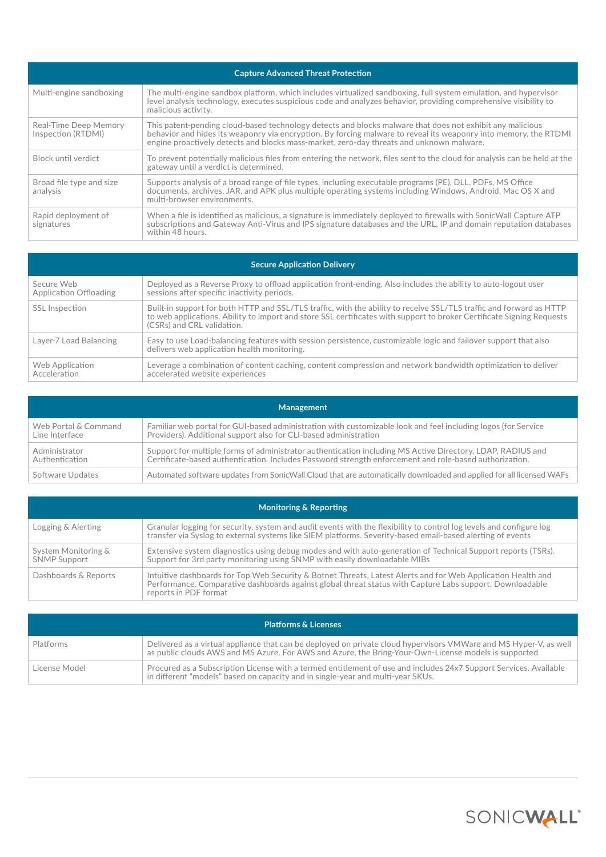| <b>Capture Advanced Threat Protection</b>   |                                                                                                                                                                                                                                                                                                                           |  |
|---------------------------------------------|---------------------------------------------------------------------------------------------------------------------------------------------------------------------------------------------------------------------------------------------------------------------------------------------------------------------------|--|
| Multi-engine sandboxing                     | The multi-engine sandbox platform, which includes virtualized sandboxing, full system emulation, and hypervisor<br>level analysis technology, executes suspicious code and analyzes behavior, providing comprehensive visibility to<br>malicious activity.                                                                |  |
| Real-Time Deep Memory<br>Inspection (RTDMI) | This patent-pending cloud-based technology detects and blocks malware that does not exhibit any malicious<br>behavior and hides its weaponry via encryption. By forcing malware to reveal its weaponry into memory, the RTDMI<br>engine proactively detects and blocks mass-market, zero-day threats and unknown malware. |  |
| Block until verdict                         | To prevent potentially malicious files from entering the network, files sent to the cloud for analysis can be held at the<br>gateway until a verdict is determined.                                                                                                                                                       |  |
| Broad file type and size<br>analysis        | Supports analysis of a broad range of file types, including executable programs (PE), DLL, PDFs, MS Office<br>documents, archives, JAR, and APK plus multiple operating systems including Windows, Android, Mac OS X and<br>multi-browser environments.                                                                   |  |
| Rapid deployment of<br>signatures           | When a file is identified as malicious, a signature is immediately deployed to firewalls with SonicWall Capture ATP<br>subscriptions and Gateway Anti-Virus and IPS signature databases and the URL, IP and domain reputation databases<br>within 48 hours.                                                               |  |

| <b>Secure Application Delivery</b>   |                                                                                                                                                                                                                                                                            |  |
|--------------------------------------|----------------------------------------------------------------------------------------------------------------------------------------------------------------------------------------------------------------------------------------------------------------------------|--|
| Secure Web<br>Application Offloading | Deployed as a Reverse Proxy to offload application front-ending. Also includes the ability to auto-logout user<br>sessions after specific inactivity periods.                                                                                                              |  |
| SSL Inspection                       | Built-in support for both HTTP and SSL/TLS traffic, with the ability to receive SSL/TLS traffic and forward as HTTP<br>to web applications. Ability to import and store SSL certificates with support to broker Certificate Signing Requests<br>(CSRs) and CRL validation. |  |
| Layer-7 Load Balancing               | Easy to use Load-balancing features with session persistence, customizable logic and failover support that also<br>delivers web application health monitoring.                                                                                                             |  |
| Web Application<br>Acceleration      | Leverage a combination of content caching, content compression and network bandwidth optimization to deliver p<br>accelerated website experiences                                                                                                                          |  |

| Management           |                                                                                                                     |  |
|----------------------|---------------------------------------------------------------------------------------------------------------------|--|
| Web Portal & Command | Familiar web portal for GUI-based administration with customizable look and feel including logos (for Service       |  |
| Line Interface       | Providers). Additional support also for CLI-based administration                                                    |  |
| Administrator        | Support for multiple forms of administrator authentication including MS Active Directory, LDAP, RADIUS and          |  |
| Authentication       | Certificate-based authentication. Includes Password strength enforcement and role-based authorization.              |  |
| Software Updates     | Automated software updates from SonicWall Cloud that are automatically downloaded and applied for all licensed WAFs |  |

| Monitoring & Reporting                     |                                                                                                                                                                                                                                                   |  |
|--------------------------------------------|---------------------------------------------------------------------------------------------------------------------------------------------------------------------------------------------------------------------------------------------------|--|
| Logging & Alerting                         | Granular logging for security, system and audit events with the flexibility to control log levels and configure log<br>transfer via Syslog to external systems like SIEM platforms. Severity-based email-based alerting of events                 |  |
| System Monitoring &<br><b>SNMP Support</b> | Extensive system diagnostics using debug modes and with auto-generation of Technical Support reports (TSRs).<br>Support for 3rd party monitoring using SNMP with easily downloadable MIBs                                                         |  |
| Dashboards & Reports                       | Intuitive dashboards for Top Web Security & Botnet Threats, Latest Alerts and for Web Application Health and<br>Performance. Comparative dashboards against global threat status with Capture Labs support. Downloadable<br>reports in PDF format |  |

| <b>Platforms &amp; Licenses</b> |                                                                                                                                                                                                                           |
|---------------------------------|---------------------------------------------------------------------------------------------------------------------------------------------------------------------------------------------------------------------------|
| Platforms                       | Delivered as a virtual appliance that can be deployed on private cloud hypervisors VMWare and MS Hyper-V, as well<br>as public clouds AWS and MS Azure. For AWS and Azure, the Bring-Your-Own-License models is supported |
| License Model                   | Procured as a Subscription License with a termed entitlement of use and includes 24x7 Support Services. Available<br>in different "models" based on capacity and in single-year and multi-year SKUs.                      |

SONICWALL®